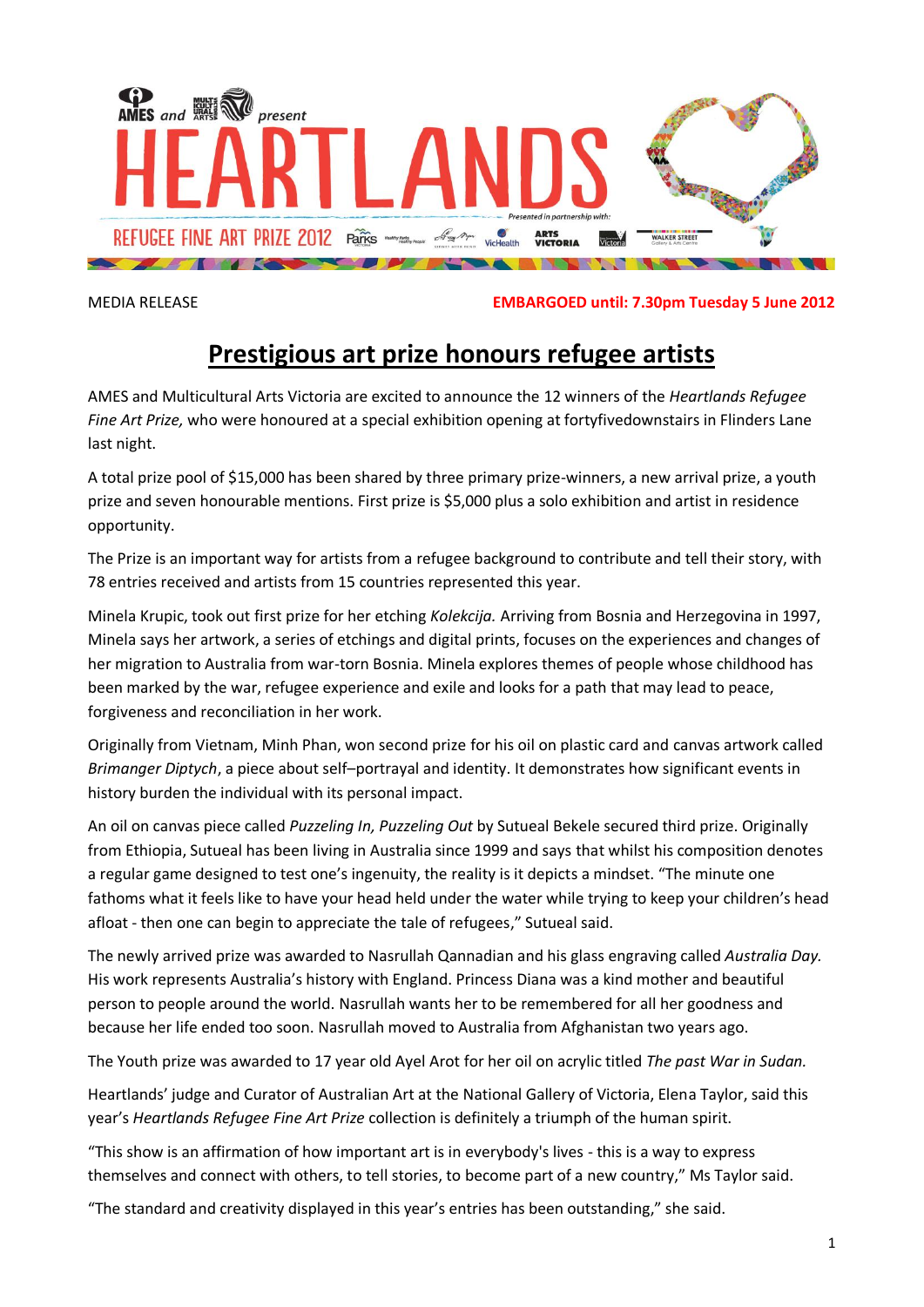

MEDIA RELEASE **EMBARGOED until: 7.30pm Tuesday 5 June 2012**

## **Prestigious art prize honours refugee artists**

AMES and Multicultural Arts Victoria are excited to announce the 12 winners of the *Heartlands Refugee Fine Art Prize,* who were honoured at a special exhibition opening at fortyfivedownstairs in Flinders Lane last night.

A total prize pool of \$15,000 has been shared by three primary prize-winners, a new arrival prize, a youth prize and seven honourable mentions. First prize is \$5,000 plus a solo exhibition and artist in residence opportunity.

The Prize is an important way for artists from a refugee background to contribute and tell their story, with 78 entries received and artists from 15 countries represented this year.

Minela Krupic, took out first prize for her etching *Kolekcija.* Arriving from Bosnia and Herzegovina in 1997, Minela says her artwork, a series of etchings and digital prints, focuses on the experiences and changes of her migration to Australia from war-torn Bosnia. Minela explores themes of people whose childhood has been marked by the war, refugee experience and exile and looks for a path that may lead to peace, forgiveness and reconciliation in her work.

Originally from Vietnam, Minh Phan, won second prize for his oil on plastic card and canvas artwork called *Brimanger Diptych*, a piece about self–portrayal and identity. It demonstrates how significant events in history burden the individual with its personal impact.

An oil on canvas piece called *Puzzeling In, Puzzeling Out* by Sutueal Bekele secured third prize. Originally from Ethiopia, Sutueal has been living in Australia since 1999 and says that whilst his composition denotes a regular game designed to test one's ingenuity, the reality is it depicts a mindset. "The minute one fathoms what it feels like to have your head held under the water while trying to keep your children's head afloat - then one can begin to appreciate the tale of refugees," Sutueal said.

The newly arrived prize was awarded to Nasrullah Qannadian and his glass engraving called *Australia Day.*  His work represents Australia's history with England. Princess Diana was a kind mother and beautiful person to people around the world. Nasrullah wants her to be remembered for all her goodness and because her life ended too soon. Nasrullah moved to Australia from Afghanistan two years ago.

The Youth prize was awarded to 17 year old Ayel Arot for her oil on acrylic titled *The past War in Sudan.*

Heartlands' judge and Curator of Australian Art at the National Gallery of Victoria, Elena Taylor, said this year's *Heartlands Refugee Fine Art Prize* collection is definitely a triumph of the human spirit.

"This show is an affirmation of how important art is in everybody's lives - this is a way to express themselves and connect with others, to tell stories, to become part of a new country," Ms Taylor said.

"The standard and creativity displayed in this year's entries has been outstanding," she said.